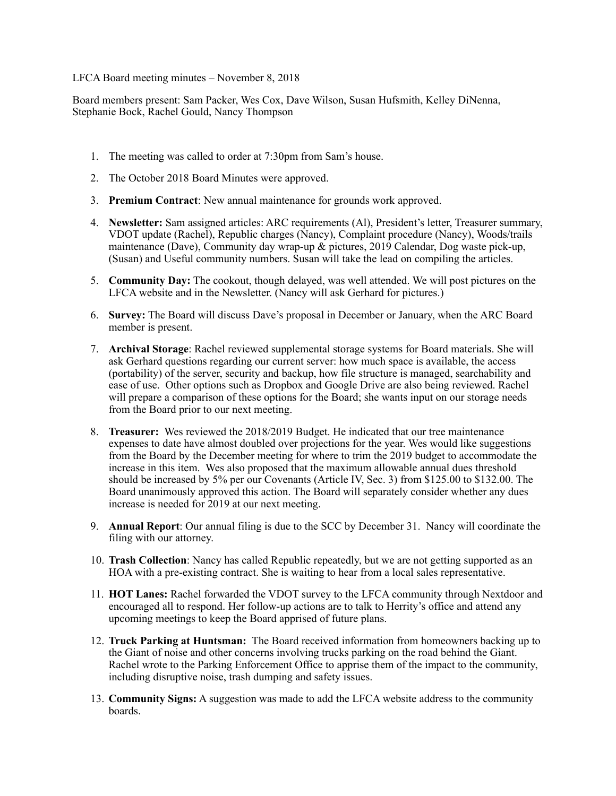## LFCA Board meeting minutes – November 8, 2018

Board members present: Sam Packer, Wes Cox, Dave Wilson, Susan Hufsmith, Kelley DiNenna, Stephanie Bock, Rachel Gould, Nancy Thompson

- 1. The meeting was called to order at 7:30pm from Sam's house.
- 2. The October 2018 Board Minutes were approved.
- 3. **Premium Contract**: New annual maintenance for grounds work approved.
- 4. **Newsletter:** Sam assigned articles: ARC requirements (Al), President's letter, Treasurer summary, VDOT update (Rachel), Republic charges (Nancy), Complaint procedure (Nancy), Woods/trails maintenance (Dave), Community day wrap-up  $\&$  pictures, 2019 Calendar, Dog waste pick-up, (Susan) and Useful community numbers. Susan will take the lead on compiling the articles.
- 5. **Community Day:** The cookout, though delayed, was well attended. We will post pictures on the LFCA website and in the Newsletter. (Nancy will ask Gerhard for pictures.)
- 6. **Survey:** The Board will discuss Dave's proposal in December or January, when the ARC Board member is present.
- 7. **Archival Storage**: Rachel reviewed supplemental storage systems for Board materials. She will ask Gerhard questions regarding our current server: how much space is available, the access (portability) of the server, security and backup, how file structure is managed, searchability and ease of use. Other options such as Dropbox and Google Drive are also being reviewed. Rachel will prepare a comparison of these options for the Board; she wants input on our storage needs from the Board prior to our next meeting.
- 8. **Treasurer:** Wes reviewed the 2018/2019 Budget. He indicated that our tree maintenance expenses to date have almost doubled over projections for the year. Wes would like suggestions from the Board by the December meeting for where to trim the 2019 budget to accommodate the increase in this item. Wes also proposed that the maximum allowable annual dues threshold should be increased by 5% per our Covenants (Article IV, Sec. 3) from \$125.00 to \$132.00. The Board unanimously approved this action. The Board will separately consider whether any dues increase is needed for 2019 at our next meeting.
- 9. **Annual Report**: Our annual filing is due to the SCC by December 31. Nancy will coordinate the filing with our attorney.
- 10. **Trash Collection**: Nancy has called Republic repeatedly, but we are not getting supported as an HOA with a pre-existing contract. She is waiting to hear from a local sales representative.
- 11. **HOT Lanes:** Rachel forwarded the VDOT survey to the LFCA community through Nextdoor and encouraged all to respond. Her follow-up actions are to talk to Herrity's office and attend any upcoming meetings to keep the Board apprised of future plans.
- 12. **Truck Parking at Huntsman:** The Board received information from homeowners backing up to the Giant of noise and other concerns involving trucks parking on the road behind the Giant. Rachel wrote to the Parking Enforcement Office to apprise them of the impact to the community, including disruptive noise, trash dumping and safety issues.
- 13. **Community Signs:** A suggestion was made to add the LFCA website address to the community boards.